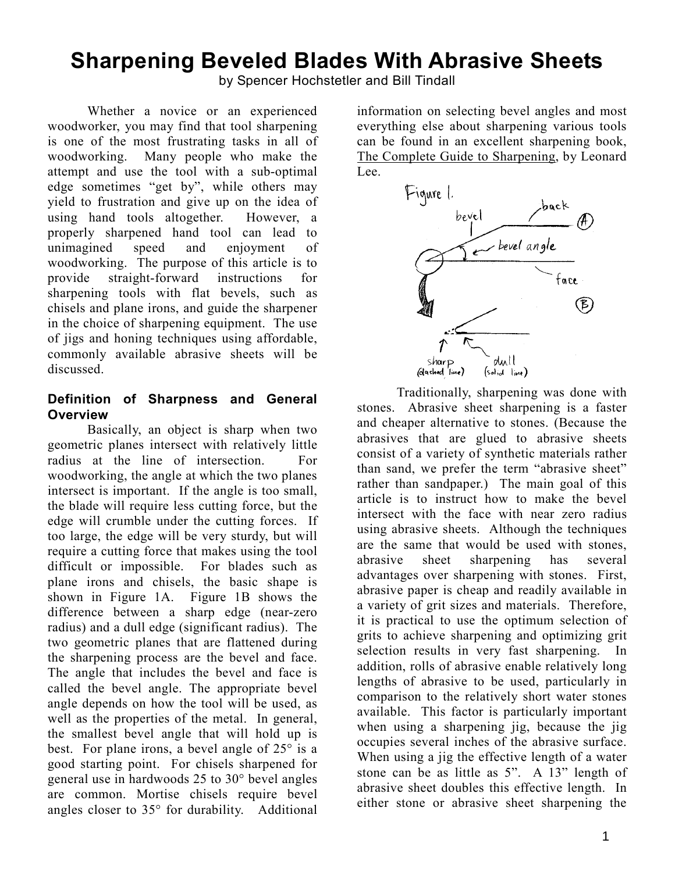# **Sharpening Beveled Blades With Abrasive Sheets**

by Spencer Hochstetler and Bill Tindall

 Whether a novice or an experienced woodworker, you may find that tool sharpening is one of the most frustrating tasks in all of woodworking. Many people who make the attempt and use the tool with a sub-optimal edge sometimes "get by", while others may yield to frustration and give up on the idea of using hand tools altogether. However, a properly sharpened hand tool can lead to unimagined speed and enjoyment of woodworking. The purpose of this article is to provide straight-forward instructions for sharpening tools with flat bevels, such as chisels and plane irons, and guide the sharpener in the choice of sharpening equipment. The use of jigs and honing techniques using affordable, commonly available abrasive sheets will be discussed.

### **Definition of Sharpness and General Overview**

 Basically, an object is sharp when two geometric planes intersect with relatively little radius at the line of intersection. For woodworking, the angle at which the two planes intersect is important. If the angle is too small, the blade will require less cutting force, but the edge will crumble under the cutting forces. If too large, the edge will be very sturdy, but will require a cutting force that makes using the tool difficult or impossible. For blades such as plane irons and chisels, the basic shape is shown in Figure 1A. Figure 1B shows the difference between a sharp edge (near-zero radius) and a dull edge (significant radius). The two geometric planes that are flattened during the sharpening process are the bevel and face. The angle that includes the bevel and face is called the bevel angle. The appropriate bevel angle depends on how the tool will be used, as well as the properties of the metal. In general, the smallest bevel angle that will hold up is best. For plane irons, a bevel angle of 25° is a good starting point. For chisels sharpened for general use in hardwoods 25 to 30° bevel angles are common. Mortise chisels require bevel angles closer to 35° for durability. Additional information on selecting bevel angles and most everything else about sharpening various tools can be found in an excellent sharpening book, The Complete Guide to Sharpening, by Leonard Lee.



 Traditionally, sharpening was done with stones. Abrasive sheet sharpening is a faster and cheaper alternative to stones. (Because the abrasives that are glued to abrasive sheets consist of a variety of synthetic materials rather than sand, we prefer the term "abrasive sheet" rather than sandpaper.) The main goal of this article is to instruct how to make the bevel intersect with the face with near zero radius using abrasive sheets. Although the techniques are the same that would be used with stones, abrasive sheet sharpening has several advantages over sharpening with stones. First, abrasive paper is cheap and readily available in a variety of grit sizes and materials. Therefore, it is practical to use the optimum selection of grits to achieve sharpening and optimizing grit selection results in very fast sharpening. In addition, rolls of abrasive enable relatively long lengths of abrasive to be used, particularly in comparison to the relatively short water stones available. This factor is particularly important when using a sharpening jig, because the jig occupies several inches of the abrasive surface. When using a jig the effective length of a water stone can be as little as 5". A 13" length of abrasive sheet doubles this effective length. In either stone or abrasive sheet sharpening the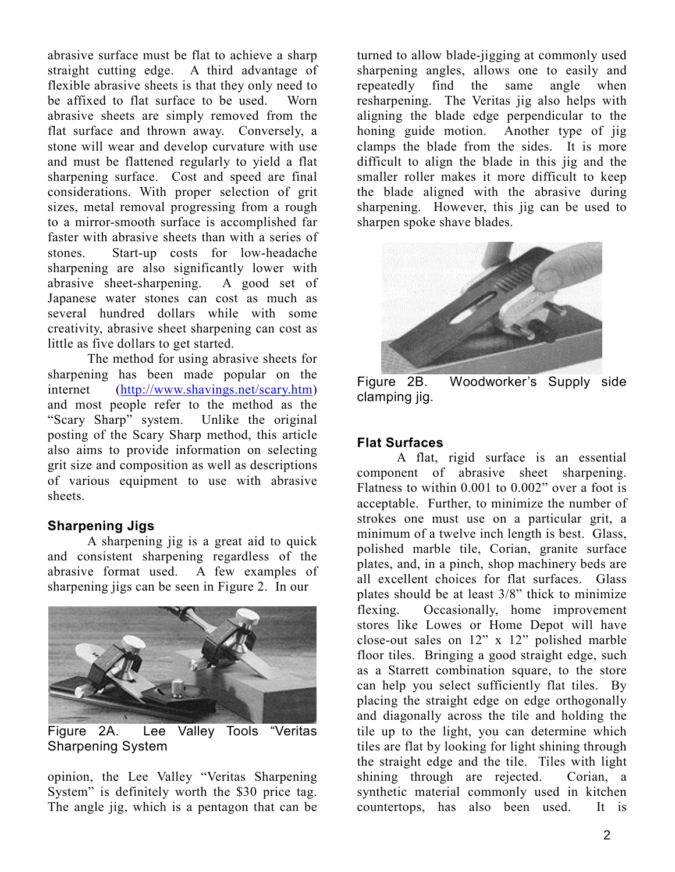abrasive surface must be flat to achieve a sharp straight cutting edge. A third advantage of flexible abrasive sheets is that they only need to be affixed to flat surface to be used. Worn abrasive sheets are simply removed from the flat surface and thrown away. Conversely, a stone will wear and develop curvature with use and must be flattened regularly to yield a flat sharpening surface. Cost and speed are final considerations. With proper selection of grit sizes, metal removal progressing from a rough to a mirror-smooth surface is accomplished far faster with abrasive sheets than with a series of stones. Start-up costs for low-headache sharpening are also significantly lower with abrasive sheet-sharpening. A good set of Japanese water stones can cost as much as several hundred dollars while with some creativity, abrasive sheet sharpening can cost as little as five dollars to get started.

 The method for using abrasive sheets for sharpening has been made popular on the internet ([http://www.shavings.net/scary.htm\)](http://www.shavings.net/scary.htm)  and most people refer to the method as the "Scary Sharp" system. Unlike the original posting of the Scary Sharp method, this article also aims to provide information on selecting grit size and composition as well as descriptions of various equipment to use with abrasive sheets.

### **Sharpening Jigs**

 A sharpening jig is a great aid to quick and consistent sharpening regardless of the abrasive format used. A few examples of sharpening jigs can be seen in Figure 2. In our



Figure 2A. Lee Valley Tools "Veritas Sharpening System

opinion, the Lee Valley "Veritas Sharpening System" is definitely worth the \$30 price tag. The angle jig, which is a pentagon that can be

turned to allow blade-jigging at commonly used sharpening angles, allows one to easily and repeatedly find the same angle when resharpening. The Veritas jig also helps with aligning the blade edge perpendicular to the honing guide motion. Another type of jig clamps the blade from the sides. It is more difficult to align the blade in this jig and the smaller roller makes it more difficult to keep the blade aligned with the abrasive during sharpening. However, this jig can be used to sharpen spoke shave blades.



Figure 2B. Woodworker's Supply side clamping jig.

# **Flat Surfaces**

 A flat, rigid surface is an essential component of abrasive sheet sharpening. Flatness to within 0.001 to 0.002" over a foot is acceptable. Further, to minimize the number of strokes one must use on a particular grit, a minimum of a twelve inch length is best. Glass, polished marble tile, Corian, granite surface plates, and, in a pinch, shop machinery beds are all excellent choices for flat surfaces. Glass plates should be at least 3/8" thick to minimize flexing. Occasionally, home improvement stores like Lowes or Home Depot will have close-out sales on 12" x 12" polished marble floor tiles. Bringing a good straight edge, such as a Starrett combination square, to the store can help you select sufficiently flat tiles. By placing the straight edge on edge orthogonally and diagonally across the tile and holding the tile up to the light, you can determine which tiles are flat by looking for light shining through the straight edge and the tile. Tiles with light shining through are rejected. Corian, a synthetic material commonly used in kitchen countertops, has also been used. It is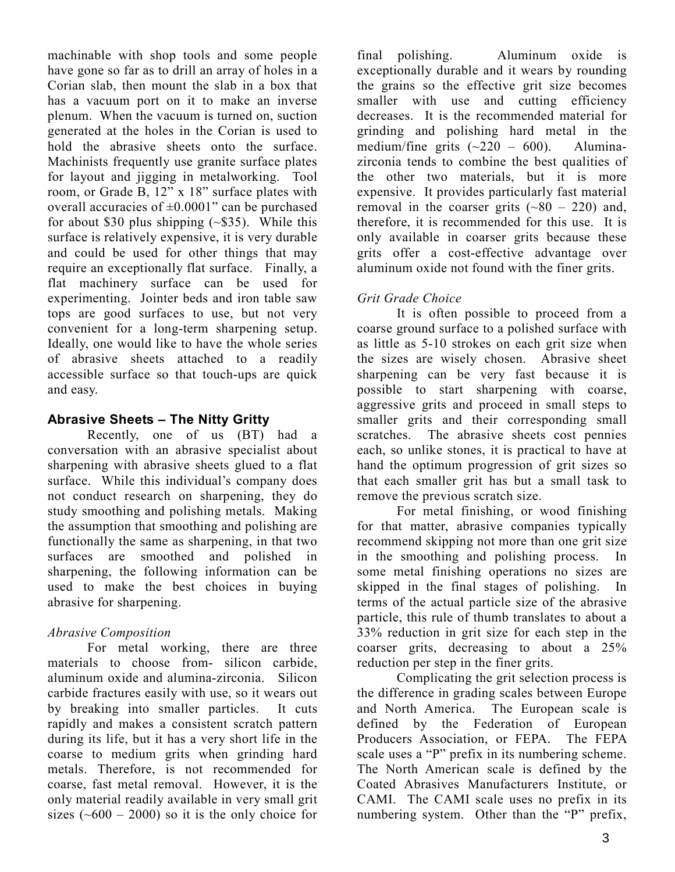machinable with shop tools and some people have gone so far as to drill an array of holes in a Corian slab, then mount the slab in a box that has a vacuum port on it to make an inverse plenum. When the vacuum is turned on, suction generated at the holes in the Corian is used to hold the abrasive sheets onto the surface Machinists frequently use granite surface plates for layout and jigging in metalworking. Tool room, or Grade B, 12" x 18" surface plates with overall accuracies of  $\pm 0.0001$ " can be purchased for about \$30 plus shipping  $(-\$35)$ . While this surface is relatively expensive, it is very durable and could be used for other things that may require an exceptionally flat surface. Finally, a flat machinery surface can be used for experimenting. Jointer beds and iron table saw tops are good surfaces to use, but not very convenient for a long-term sharpening setup. Ideally, one would like to have the whole series of abrasive sheets attached to a readily accessible surface so that touch-ups are quick and easy.

### **Abrasive Sheets – The Nitty Gritty**

 Recently, one of us (BT) had a conversation with an abrasive specialist about sharpening with abrasive sheets glued to a flat surface. While this individual's company does not conduct research on sharpening, they do study smoothing and polishing metals. Making the assumption that smoothing and polishing are functionally the same as sharpening, in that two surfaces are smoothed and polished in sharpening, the following information can be used to make the best choices in buying abrasive for sharpening.

# *Abrasive Composition*

 For metal working, there are three materials to choose from- silicon carbide, aluminum oxide and alumina-zirconia. Silicon carbide fractures easily with use, so it wears out by breaking into smaller particles. It cuts rapidly and makes a consistent scratch pattern during its life, but it has a very short life in the coarse to medium grits when grinding hard metals. Therefore, is not recommended for coarse, fast metal removal. However, it is the only material readily available in very small grit sizes  $({\sim}600 - 2000)$  so it is the only choice for

final polishing. Aluminum oxide is exceptionally durable and it wears by rounding the grains so the effective grit size becomes smaller with use and cutting efficiency decreases. It is the recommended material for grinding and polishing hard metal in the medium/fine grits  $(-220 - 600)$ . Aluminazirconia tends to combine the best qualities of the other two materials, but it is more expensive. It provides particularly fast material removal in the coarser grits  $(\sim 80 - 220)$  and, therefore, it is recommended for this use. It is only available in coarser grits because these grits offer a cost-effective advantage over aluminum oxide not found with the finer grits.

# *Grit Grade Choice*

It is often possible to proceed from a coarse ground surface to a polished surface with as little as 5-10 strokes on each grit size when the sizes are wisely chosen. Abrasive sheet sharpening can be very fast because it is possible to start sharpening with coarse, aggressive grits and proceed in small steps to smaller grits and their corresponding small scratches. The abrasive sheets cost pennies each, so unlike stones, it is practical to have at hand the optimum progression of grit sizes so that each smaller grit has but a small task to remove the previous scratch size.

 For metal finishing, or wood finishing for that matter, abrasive companies typically recommend skipping not more than one grit size in the smoothing and polishing process. In some metal finishing operations no sizes are skipped in the final stages of polishing. In terms of the actual particle size of the abrasive particle, this rule of thumb translates to about a 33% reduction in grit size for each step in the coarser grits, decreasing to about a 25% reduction per step in the finer grits.

 Complicating the grit selection process is the difference in grading scales between Europe and North America. The European scale is defined by the Federation of European Producers Association, or FEPA. The FEPA scale uses a "P" prefix in its numbering scheme. The North American scale is defined by the Coated Abrasives Manufacturers Institute, or CAMI. The CAMI scale uses no prefix in its numbering system. Other than the "P" prefix,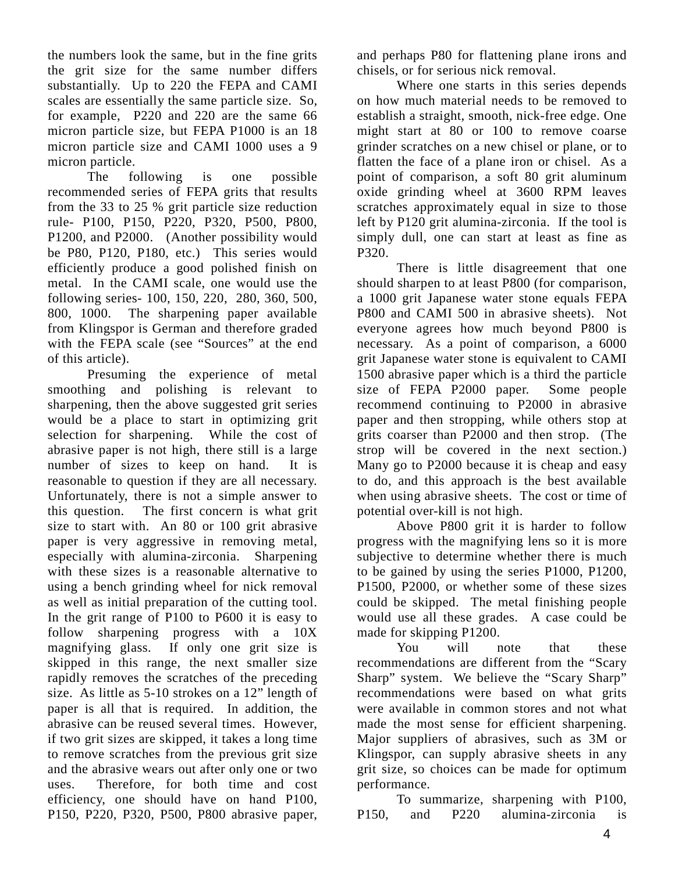the numbers look the same, but in the fine grits the grit size for the same number differs substantially. Up to 220 the FEPA and CAMI scales are essentially the same particle size. So, for example, P220 and 220 are the same 66 micron particle size, but FEPA P1000 is an 18 micron particle size and CAMI 1000 uses a 9 micron particle.

 The following is one possible recommended series of FEPA grits that results from the 33 to 25 % grit particle size reduction rule- P100, P150, P220, P320, P500, P800, P1200, and P2000. (Another possibility would be P80, P120, P180, etc.) This series would efficiently produce a good polished finish on metal. In the CAMI scale, one would use the following series- 100, 150, 220, 280, 360, 500, 800, 1000. The sharpening paper available from Klingspor is German and therefore graded with the FEPA scale (see "Sources" at the end of this article).

 Presuming the experience of metal smoothing and polishing is relevant to sharpening, then the above suggested grit series would be a place to start in optimizing grit selection for sharpening. While the cost of abrasive paper is not high, there still is a large number of sizes to keep on hand. It is reasonable to question if they are all necessary. Unfortunately, there is not a simple answer to this question. The first concern is what grit size to start with. An 80 or 100 grit abrasive paper is very aggressive in removing metal, especially with alumina-zirconia. Sharpening with these sizes is a reasonable alternative to using a bench grinding wheel for nick removal as well as initial preparation of the cutting tool. In the grit range of P100 to P600 it is easy to follow sharpening progress with a 10X magnifying glass. If only one grit size is skipped in this range, the next smaller size rapidly removes the scratches of the preceding size. As little as 5-10 strokes on a 12" length of paper is all that is required. In addition, the abrasive can be reused several times. However, if two grit sizes are skipped, it takes a long time to remove scratches from the previous grit size and the abrasive wears out after only one or two uses. Therefore, for both time and cost efficiency, one should have on hand P100, P150, P220, P320, P500, P800 abrasive paper,

and perhaps P80 for flattening plane irons and chisels, or for serious nick removal.

 Where one starts in this series depends on how much material needs to be removed to establish a straight, smooth, nick-free edge. One might start at 80 or 100 to remove coarse grinder scratches on a new chisel or plane, or to flatten the face of a plane iron or chisel. As a point of comparison, a soft 80 grit aluminum oxide grinding wheel at 3600 RPM leaves scratches approximately equal in size to those left by P120 grit alumina-zirconia. If the tool is simply dull, one can start at least as fine as P320.

 There is little disagreement that one should sharpen to at least P800 (for comparison, a 1000 grit Japanese water stone equals FEPA P800 and CAMI 500 in abrasive sheets). Not everyone agrees how much beyond P800 is necessary. As a point of comparison, a 6000 grit Japanese water stone is equivalent to CAMI 1500 abrasive paper which is a third the particle size of FEPA P2000 paper. Some people recommend continuing to P2000 in abrasive paper and then stropping, while others stop at grits coarser than P2000 and then strop. (The strop will be covered in the next section.) Many go to P2000 because it is cheap and easy to do, and this approach is the best available when using abrasive sheets. The cost or time of potential over-kill is not high.

 Above P800 grit it is harder to follow progress with the magnifying lens so it is more subjective to determine whether there is much to be gained by using the series P1000, P1200, P1500, P2000, or whether some of these sizes could be skipped. The metal finishing people would use all these grades. A case could be made for skipping P1200.

You will note that these recommendations are different from the "Scary Sharp" system. We believe the "Scary Sharp" recommendations were based on what grits were available in common stores and not what made the most sense for efficient sharpening. Major suppliers of abrasives, such as 3M or Klingspor, can supply abrasive sheets in any grit size, so choices can be made for optimum performance.

 To summarize, sharpening with P100, P150, and P220 alumina-zirconia is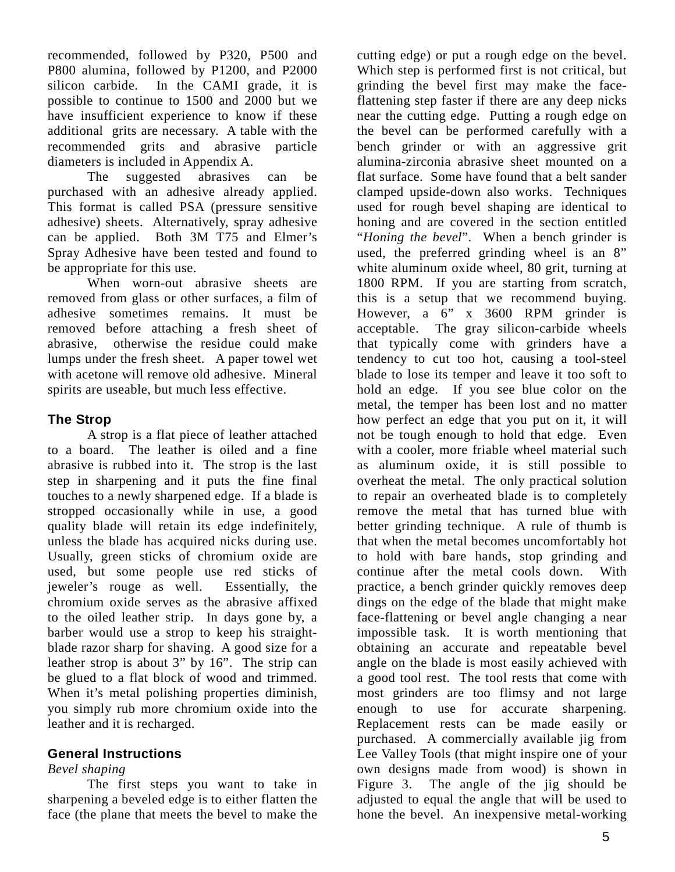recommended, followed by P320, P500 and P800 alumina, followed by P1200, and P2000 silicon carbide. In the CAMI grade, it is possible to continue to 1500 and 2000 but we have insufficient experience to know if these additional grits are necessary. A table with the recommended grits and abrasive particle diameters is included in Appendix A.

 The suggested abrasives can be purchased with an adhesive already applied. This format is called PSA (pressure sensitive adhesive) sheets. Alternatively, spray adhesive can be applied. Both 3M T75 and Elmer's Spray Adhesive have been tested and found to be appropriate for this use.

 When worn-out abrasive sheets are removed from glass or other surfaces, a film of adhesive sometimes remains. It must be removed before attaching a fresh sheet of abrasive, otherwise the residue could make lumps under the fresh sheet. A paper towel wet with acetone will remove old adhesive. Mineral spirits are useable, but much less effective.

# **The Strop**

 A strop is a flat piece of leather attached to a board. The leather is oiled and a fine abrasive is rubbed into it. The strop is the last step in sharpening and it puts the fine final touches to a newly sharpened edge. If a blade is stropped occasionally while in use, a good quality blade will retain its edge indefinitely, unless the blade has acquired nicks during use. Usually, green sticks of chromium oxide are used, but some people use red sticks of jeweler's rouge as well. Essentially, the chromium oxide serves as the abrasive affixed to the oiled leather strip. In days gone by, a barber would use a strop to keep his straightblade razor sharp for shaving. A good size for a leather strop is about 3" by 16". The strip can be glued to a flat block of wood and trimmed. When it's metal polishing properties diminish, you simply rub more chromium oxide into the leather and it is recharged.

### **General Instructions**

### *Bevel shaping*

 The first steps you want to take in sharpening a beveled edge is to either flatten the face (the plane that meets the bevel to make the

cutting edge) or put a rough edge on the bevel. Which step is performed first is not critical, but grinding the bevel first may make the faceflattening step faster if there are any deep nicks near the cutting edge. Putting a rough edge on the bevel can be performed carefully with a bench grinder or with an aggressive grit alumina-zirconia abrasive sheet mounted on a flat surface. Some have found that a belt sander clamped upside-down also works. Techniques used for rough bevel shaping are identical to honing and are covered in the section entitled "*Honing the bevel*". When a bench grinder is used, the preferred grinding wheel is an 8" white aluminum oxide wheel, 80 grit, turning at 1800 RPM. If you are starting from scratch, this is a setup that we recommend buying. However, a 6" x 3600 RPM grinder is acceptable. The gray silicon-carbide wheels that typically come with grinders have a tendency to cut too hot, causing a tool-steel blade to lose its temper and leave it too soft to hold an edge. If you see blue color on the metal, the temper has been lost and no matter how perfect an edge that you put on it, it will not be tough enough to hold that edge. Even with a cooler, more friable wheel material such as aluminum oxide, it is still possible to overheat the metal. The only practical solution to repair an overheated blade is to completely remove the metal that has turned blue with better grinding technique. A rule of thumb is that when the metal becomes uncomfortably hot to hold with bare hands, stop grinding and continue after the metal cools down. With practice, a bench grinder quickly removes deep dings on the edge of the blade that might make face-flattening or bevel angle changing a near impossible task. It is worth mentioning that obtaining an accurate and repeatable bevel angle on the blade is most easily achieved with a good tool rest. The tool rests that come with most grinders are too flimsy and not large enough to use for accurate sharpening. Replacement rests can be made easily or purchased. A commercially available jig from Lee Valley Tools (that might inspire one of your own designs made from wood) is shown in Figure 3. The angle of the jig should be adjusted to equal the angle that will be used to hone the bevel. An inexpensive metal-working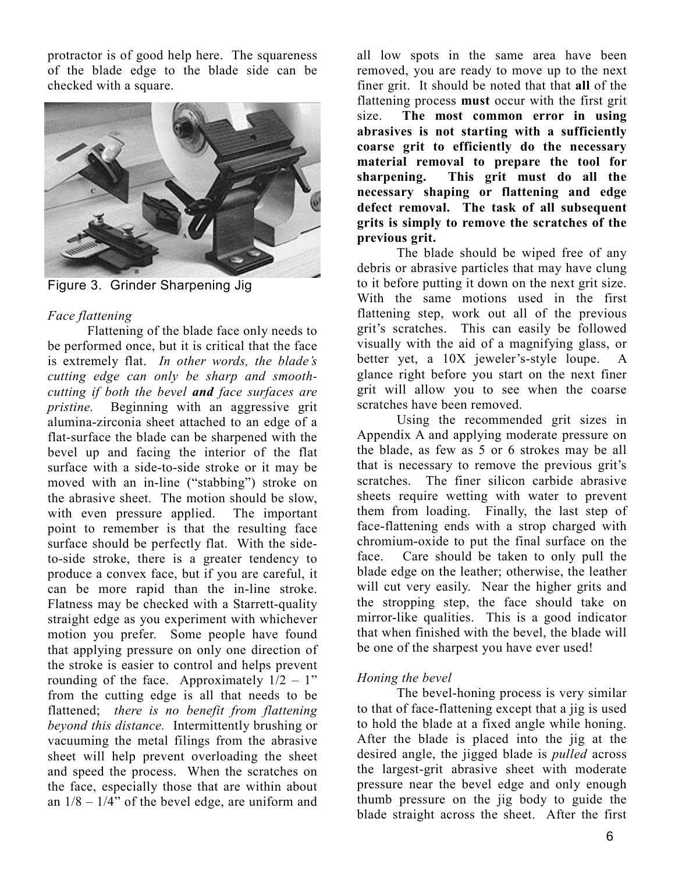protractor is of good help here. The squareness of the blade edge to the blade side can be checked with a square.



Figure 3. Grinder Sharpening Jig

# *Face flattening*

 Flattening of the blade face only needs to be performed once, but it is critical that the face is extremely flat. *In other words, the blade's cutting edge can only be sharp and smoothcutting if both the bevel and face surfaces are pristine.* Beginning with an aggressive grit alumina-zirconia sheet attached to an edge of a flat-surface the blade can be sharpened with the bevel up and facing the interior of the flat surface with a side-to-side stroke or it may be moved with an in-line ("stabbing") stroke on the abrasive sheet. The motion should be slow, with even pressure applied. The important point to remember is that the resulting face surface should be perfectly flat. With the sideto-side stroke, there is a greater tendency to produce a convex face, but if you are careful, it can be more rapid than the in-line stroke. Flatness may be checked with a Starrett-quality straight edge as you experiment with whichever motion you prefer. Some people have found that applying pressure on only one direction of the stroke is easier to control and helps prevent rounding of the face. Approximately  $1/2 - 1$ " from the cutting edge is all that needs to be flattened; *there is no benefit from flattening beyond this distance.* Intermittently brushing or vacuuming the metal filings from the abrasive sheet will help prevent overloading the sheet and speed the process. When the scratches on the face, especially those that are within about an  $1/8 - 1/4$ " of the bevel edge, are uniform and all low spots in the same area have been removed, you are ready to move up to the next finer grit. It should be noted that that **all** of the flattening process **must** occur with the first grit size. **The most common error in using abrasives is not starting with a sufficiently coarse grit to efficiently do the necessary material removal to prepare the tool for sharpening. This grit must do all the necessary shaping or flattening and edge defect removal. The task of all subsequent grits is simply to remove the scratches of the previous grit.**

 The blade should be wiped free of any debris or abrasive particles that may have clung to it before putting it down on the next grit size. With the same motions used in the first flattening step, work out all of the previous grit's scratches. This can easily be followed visually with the aid of a magnifying glass, or better yet, a 10X jeweler's-style loupe. A glance right before you start on the next finer grit will allow you to see when the coarse scratches have been removed.

 Using the recommended grit sizes in Appendix A and applying moderate pressure on the blade, as few as 5 or 6 strokes may be all that is necessary to remove the previous grit's scratches. The finer silicon carbide abrasive sheets require wetting with water to prevent them from loading. Finally, the last step of face-flattening ends with a strop charged with chromium-oxide to put the final surface on the face. Care should be taken to only pull the blade edge on the leather; otherwise, the leather will cut very easily. Near the higher grits and the stropping step, the face should take on mirror-like qualities. This is a good indicator that when finished with the bevel, the blade will be one of the sharpest you have ever used!

# *Honing the bevel*

 The bevel-honing process is very similar to that of face-flattening except that a jig is used to hold the blade at a fixed angle while honing. After the blade is placed into the jig at the desired angle, the jigged blade is *pulled* across the largest-grit abrasive sheet with moderate pressure near the bevel edge and only enough thumb pressure on the jig body to guide the blade straight across the sheet. After the first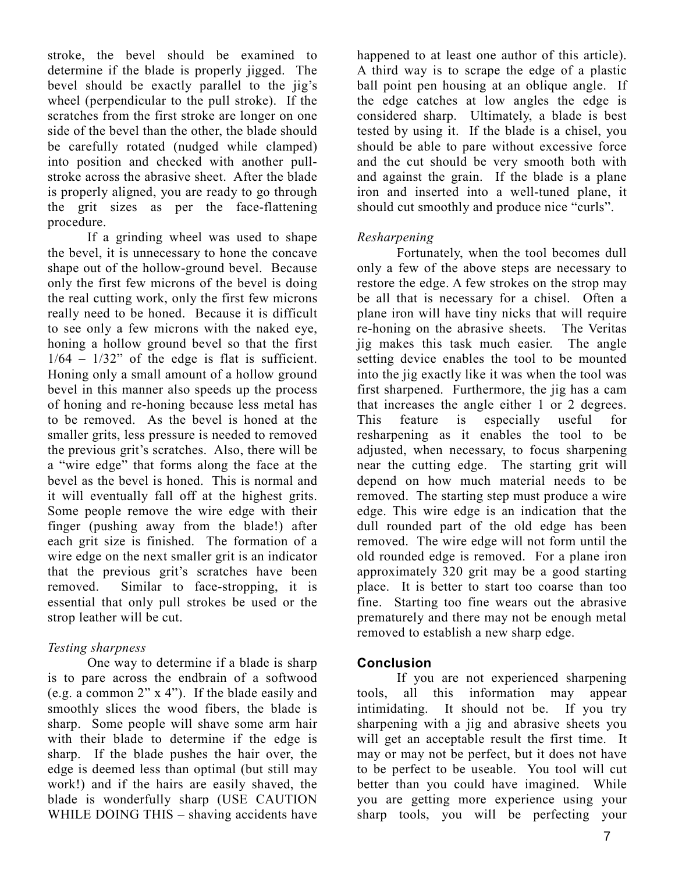stroke, the bevel should be examined to determine if the blade is properly jigged. The bevel should be exactly parallel to the jig's wheel (perpendicular to the pull stroke). If the scratches from the first stroke are longer on one side of the bevel than the other, the blade should be carefully rotated (nudged while clamped) into position and checked with another pullstroke across the abrasive sheet. After the blade is properly aligned, you are ready to go through the grit sizes as per the face-flattening procedure.

 If a grinding wheel was used to shape the bevel, it is unnecessary to hone the concave shape out of the hollow-ground bevel. Because only the first few microns of the bevel is doing the real cutting work, only the first few microns really need to be honed. Because it is difficult to see only a few microns with the naked eye, honing a hollow ground bevel so that the first  $1/64 - 1/32$ " of the edge is flat is sufficient. Honing only a small amount of a hollow ground bevel in this manner also speeds up the process of honing and re-honing because less metal has to be removed. As the bevel is honed at the smaller grits, less pressure is needed to removed the previous grit's scratches. Also, there will be a "wire edge" that forms along the face at the bevel as the bevel is honed. This is normal and it will eventually fall off at the highest grits. Some people remove the wire edge with their finger (pushing away from the blade!) after each grit size is finished. The formation of a wire edge on the next smaller grit is an indicator that the previous grit's scratches have been removed. Similar to face-stropping, it is essential that only pull strokes be used or the strop leather will be cut.

### *Testing sharpness*

 One way to determine if a blade is sharp is to pare across the endbrain of a softwood (e.g. a common 2" x 4"). If the blade easily and smoothly slices the wood fibers, the blade is sharp. Some people will shave some arm hair with their blade to determine if the edge is sharp. If the blade pushes the hair over, the edge is deemed less than optimal (but still may work!) and if the hairs are easily shaved, the blade is wonderfully sharp (USE CAUTION WHILE DOING THIS – shaving accidents have

happened to at least one author of this article). A third way is to scrape the edge of a plastic ball point pen housing at an oblique angle. If the edge catches at low angles the edge is considered sharp. Ultimately, a blade is best tested by using it. If the blade is a chisel, you should be able to pare without excessive force and the cut should be very smooth both with and against the grain. If the blade is a plane iron and inserted into a well-tuned plane, it should cut smoothly and produce nice "curls".

### *Resharpening*

 Fortunately, when the tool becomes dull only a few of the above steps are necessary to restore the edge. A few strokes on the strop may be all that is necessary for a chisel. Often a plane iron will have tiny nicks that will require re-honing on the abrasive sheets. The Veritas jig makes this task much easier. The angle setting device enables the tool to be mounted into the jig exactly like it was when the tool was first sharpened. Furthermore, the jig has a cam that increases the angle either 1 or 2 degrees. This feature is especially useful for resharpening as it enables the tool to be adjusted, when necessary, to focus sharpening near the cutting edge. The starting grit will depend on how much material needs to be removed. The starting step must produce a wire edge. This wire edge is an indication that the dull rounded part of the old edge has been removed. The wire edge will not form until the old rounded edge is removed. For a plane iron approximately 320 grit may be a good starting place. It is better to start too coarse than too fine. Starting too fine wears out the abrasive prematurely and there may not be enough metal removed to establish a new sharp edge.

### **Conclusion**

 If you are not experienced sharpening tools, all this information may appear intimidating. It should not be. If you try sharpening with a jig and abrasive sheets you will get an acceptable result the first time. It may or may not be perfect, but it does not have to be perfect to be useable. You tool will cut better than you could have imagined. While you are getting more experience using your sharp tools, you will be perfecting your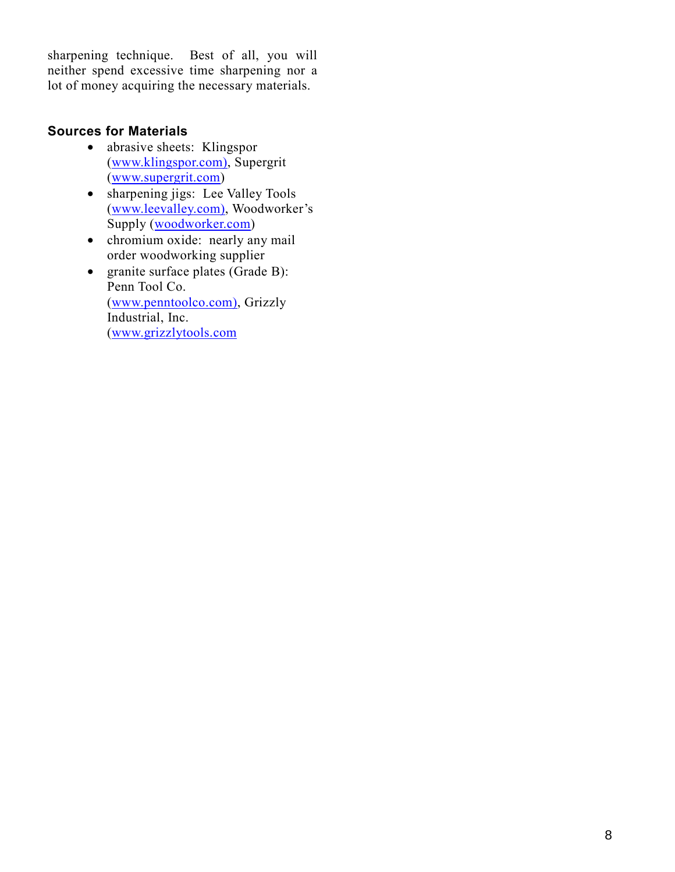sharpening technique. Best of all, you will neither spend excessive time sharpening nor a lot of money acquiring the necessary materials.

# **Sources for Materials**

- abrasive sheets: Klingspor ([www.klingspor.com\), S](http://www.klingspor.com)upergrit ([www.supergrit.com\)](http://www.supergrit.com/)
- sharpening jigs: Lee Valley Tools ([www.leevalley.com\), W](http://www.leevalley.com)oodworker's Supply (w[oodworker.com\)](http://woodworker.com/)
- chromium oxide: nearly any mail order woodworking supplier
- granite surface plates (Grade B): Penn Tool Co. ([www.penntoolco.com\), G](http://www.penntoolco.com)rizzly Industrial, Inc. ([www.grizzlytools.com](http://www.grizzlytools.com/)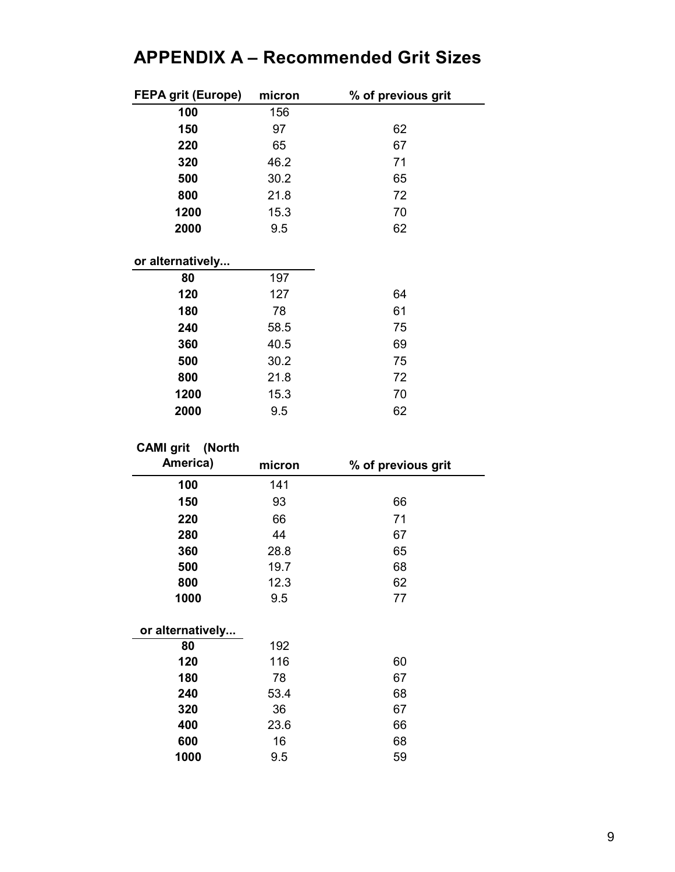# **APPENDIX A – Recommended Grit Sizes**

| <b>FEPA grit (Europe)</b> | micron | % of previous grit |
|---------------------------|--------|--------------------|
| 100                       | 156    |                    |
| 150                       | 97     | 62                 |
| 220                       | 65     | 67                 |
| 320                       | 46.2   | 71                 |
| 500                       | 30.2   | 65                 |
| 800                       | 21.8   | 72                 |
| 1200                      | 15.3   | 70                 |
| 2000                      | 9.5    | 62                 |
|                           |        |                    |
| or alternatively          |        |                    |
| 80                        | 197    |                    |
| 120                       | 127    | 64                 |
| 180                       | 78     | 61                 |
| 240                       | 58.5   | 75                 |
| 360                       | 40.5   | 69                 |
| 500                       | 30.2   | 75                 |
| 800                       | 21.8   | 72                 |
| 1200                      | 15.3   | 70                 |
| 2000                      | 9.5    | 62                 |

# **CAMI grit (North**

| America)         | micron | % of previous grit |
|------------------|--------|--------------------|
| 100              | 141    |                    |
| 150              | 93     | 66                 |
| 220              | 66     | 71                 |
| 280              | 44     | 67                 |
| 360              | 28.8   | 65                 |
| 500              | 19.7   | 68                 |
| 800              | 12.3   | 62                 |
| 1000             | 9.5    | 77                 |
| or alternatively |        |                    |
| 80               | 192    |                    |
| 120              | 116    | 60                 |
| 180              | 78     | 67                 |
| 240              | 53.4   | 68                 |
| 320              | 36     | 67                 |
| 400              | 23.6   | 66                 |
| 600              | 16     | 68                 |
| 1000             | 9.5    | 59                 |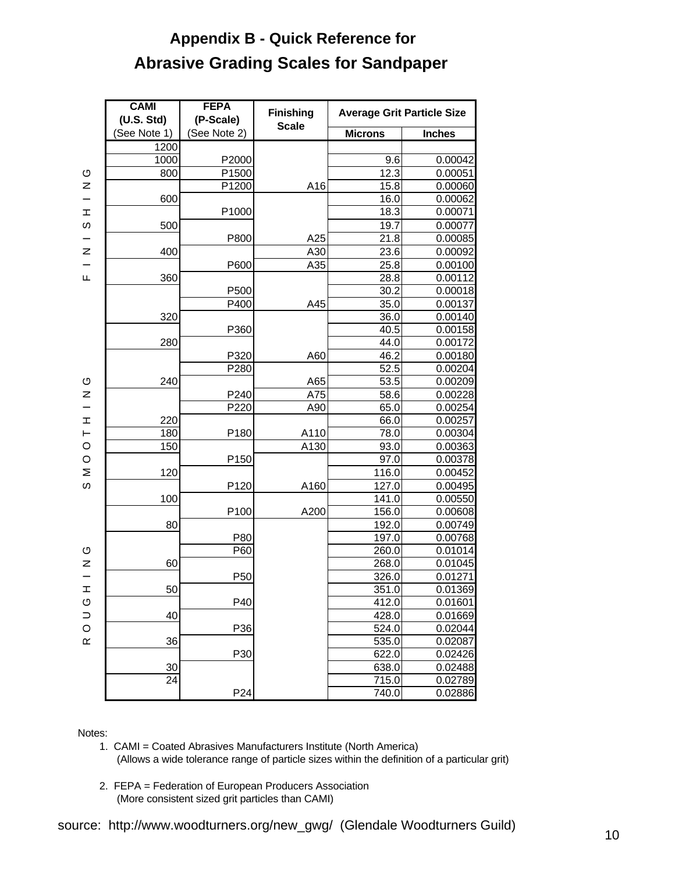# **Abrasive Grading Scales for Sandpaper Appendix B - Quick Reference for**

|                | <b>CAMI</b><br><b>FEPA</b><br>(U.S. Std)<br>(P-Scale) |                  | <b>Finishing</b> | <b>Average Grit Particle Size</b> |               |  |
|----------------|-------------------------------------------------------|------------------|------------------|-----------------------------------|---------------|--|
|                | (See Note 1)                                          | (See Note 2)     | <b>Scale</b>     | <b>Microns</b>                    | <b>Inches</b> |  |
|                | $\overline{1200}$                                     |                  |                  |                                   |               |  |
|                | 1000                                                  | P2000            |                  | 9.6                               | 0.00042       |  |
| ပ              | 800                                                   | P1500            |                  | 12.3                              | 0.00051       |  |
| z              |                                                       | P1200            | A16              | 15.8                              | 0.00060       |  |
|                | 600                                                   |                  |                  | 16.0                              | 0.00062       |  |
| $\mathbbmss{}$ |                                                       | P1000            |                  | 18.3                              | 0.00071       |  |
| S              | 500                                                   |                  |                  | 19.7                              | 0.00077       |  |
|                |                                                       | P800             | A25              | 21.8                              | 0.00085       |  |
| z              | 400                                                   |                  | A30              | 23.6                              | 0.00092       |  |
|                |                                                       | P600             | A35              | 25.8                              | 0.00100       |  |
| щ              | 360                                                   |                  |                  | 28.8                              | 0.00112       |  |
|                |                                                       | P500             |                  | 30.2                              | 0.00018       |  |
|                |                                                       | P400             | A45              | 35.0                              | 0.00137       |  |
|                | 320                                                   |                  |                  | 36.0                              | 0.00140       |  |
|                |                                                       | P360             |                  | 40.5                              | 0.00158       |  |
|                | 280                                                   |                  |                  | 44.0                              | 0.00172       |  |
|                |                                                       | P320             | A60              | 46.2                              | 0.00180       |  |
|                |                                                       | P280             |                  | 52.5                              | 0.00204       |  |
| O              | 240                                                   |                  | A65              | 53.5                              | 0.00209       |  |
| Z              |                                                       | P240             | A75              | 58.6                              | 0.00228       |  |
|                |                                                       | P220             | A90              | 65.0                              | 0.00254       |  |
| H              | 220                                                   |                  |                  | 66.0                              | 0.00257       |  |
| $\vdash$       | 180                                                   | P180             | A110             | 78.0                              | 0.00304       |  |
| $\circ$        | 150                                                   |                  | A130             | 93.0                              | 0.00363       |  |
| $\circ$        |                                                       | P <sub>150</sub> |                  | 97.0                              | 0.00378       |  |
| Σ              | 120                                                   |                  |                  | 116.0                             | 0.00452       |  |
| ၯ              |                                                       | P120             | A160             | 127.0                             | 0.00495       |  |
|                | 100                                                   |                  |                  | 141.0                             | 0.00550       |  |
|                |                                                       | P <sub>100</sub> | A200             | 156.0                             | 0.00608       |  |
|                | 80                                                    |                  |                  | 192.0                             | 0.00749       |  |
|                |                                                       | P80              |                  | 197.0                             | 0.00768       |  |
| O              |                                                       | P60              |                  | 260.0                             | 0.01014       |  |
| Z              | 60                                                    |                  |                  | 268.0                             | 0.01045       |  |
|                |                                                       | P <sub>50</sub>  |                  | 326.0                             | 0.01271       |  |
| <b>I</b>       | 50                                                    |                  |                  | 351.0                             | 0.01369       |  |
| O              |                                                       | P40              |                  | 412.0                             | 0.01601       |  |
| $\supset$      | 40                                                    |                  |                  | 428.0                             | 0.01669       |  |
| $\circ$        |                                                       | P36              |                  | 524.0                             | 0.02044       |  |
| $\propto$      | 36                                                    |                  |                  | 535.0                             | 0.02087       |  |
|                |                                                       | P30              |                  | 622.0                             | 0.02426       |  |
|                | 30                                                    |                  |                  | 638.0                             | 0.02488       |  |
|                | 24                                                    |                  |                  | 715.0                             | 0.02789       |  |
|                |                                                       | P24              |                  | 740.0                             | 0.02886       |  |

#### Notes:

- 1. CAMI = Coated Abrasives Manufacturers Institute (North America) (Allows a wide tolerance range of particle sizes within the definition of a particular grit)
- 2. FEPA = Federation of European Producers Association (More consistent sized grit particles than CAMI)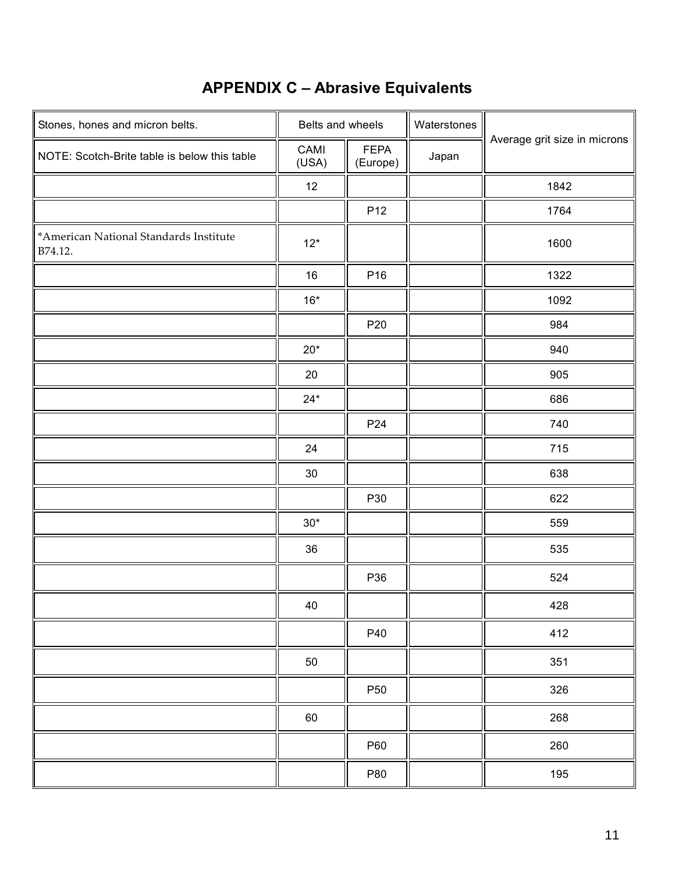# **APPENDIX C – Abrasive Equivalents**

| Stones, hones and micron belts.                   | Belts and wheels |                         | Waterstones |                              |  |
|---------------------------------------------------|------------------|-------------------------|-------------|------------------------------|--|
| NOTE: Scotch-Brite table is below this table      | CAMI<br>(USA)    | <b>FEPA</b><br>(Europe) | Japan       | Average grit size in microns |  |
|                                                   | 12               |                         |             | 1842                         |  |
|                                                   |                  | P12                     |             | 1764                         |  |
| *American National Standards Institute<br>B74.12. | $12*$            |                         |             | 1600                         |  |
|                                                   | $16\,$           | P16                     |             | 1322                         |  |
|                                                   | $16*$            |                         |             | 1092                         |  |
|                                                   |                  | P20                     |             | 984                          |  |
|                                                   | $20*$            |                         |             | 940                          |  |
|                                                   | 20               |                         |             | 905                          |  |
|                                                   | $24*$            |                         |             | 686                          |  |
|                                                   |                  | P <sub>24</sub>         |             | 740                          |  |
|                                                   | 24               |                         |             | 715                          |  |
|                                                   | $30\,$           |                         |             | 638                          |  |
|                                                   |                  | P30                     |             | 622                          |  |
|                                                   | $30*$            |                         |             | 559                          |  |
|                                                   | 36               |                         |             | 535                          |  |
|                                                   |                  | P36                     |             | 524                          |  |
|                                                   | 40               |                         |             | 428                          |  |
|                                                   |                  | P40                     |             | 412                          |  |
|                                                   | 50               |                         |             | 351                          |  |
|                                                   |                  | P50                     |             | 326                          |  |
|                                                   | 60               |                         |             | 268                          |  |
|                                                   |                  | P60                     |             | 260                          |  |
|                                                   |                  | P80                     |             | 195                          |  |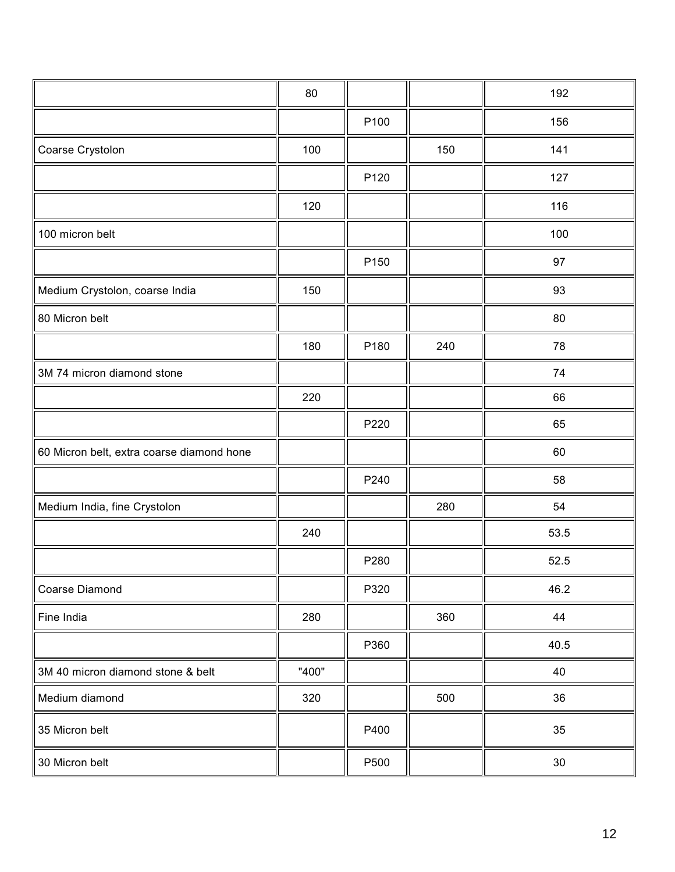|                                           | 80    |      |     | 192  |
|-------------------------------------------|-------|------|-----|------|
|                                           |       | P100 |     | 156  |
| Coarse Crystolon                          | 100   |      | 150 | 141  |
|                                           |       | P120 |     | 127  |
|                                           | 120   |      |     | 116  |
| 100 micron belt                           |       |      |     | 100  |
|                                           |       | P150 |     | 97   |
| Medium Crystolon, coarse India            | 150   |      |     | 93   |
| 80 Micron belt                            |       |      |     | 80   |
|                                           | 180   | P180 | 240 | 78   |
| 3M 74 micron diamond stone                |       |      |     | 74   |
|                                           | 220   |      |     | 66   |
|                                           |       | P220 |     | 65   |
| 60 Micron belt, extra coarse diamond hone |       |      |     | 60   |
|                                           |       | P240 |     | 58   |
| Medium India, fine Crystolon              |       |      | 280 | 54   |
|                                           | 240   |      |     | 53.5 |
|                                           |       | P280 |     | 52.5 |
| Coarse Diamond                            |       | P320 |     | 46.2 |
| Fine India                                | 280   |      | 360 | 44   |
|                                           |       | P360 |     | 40.5 |
| 3M 40 micron diamond stone & belt         | "400" |      |     | 40   |
| Medium diamond                            | 320   |      | 500 | 36   |
| 35 Micron belt                            |       | P400 |     | 35   |
| 30 Micron belt                            |       | P500 |     | 30   |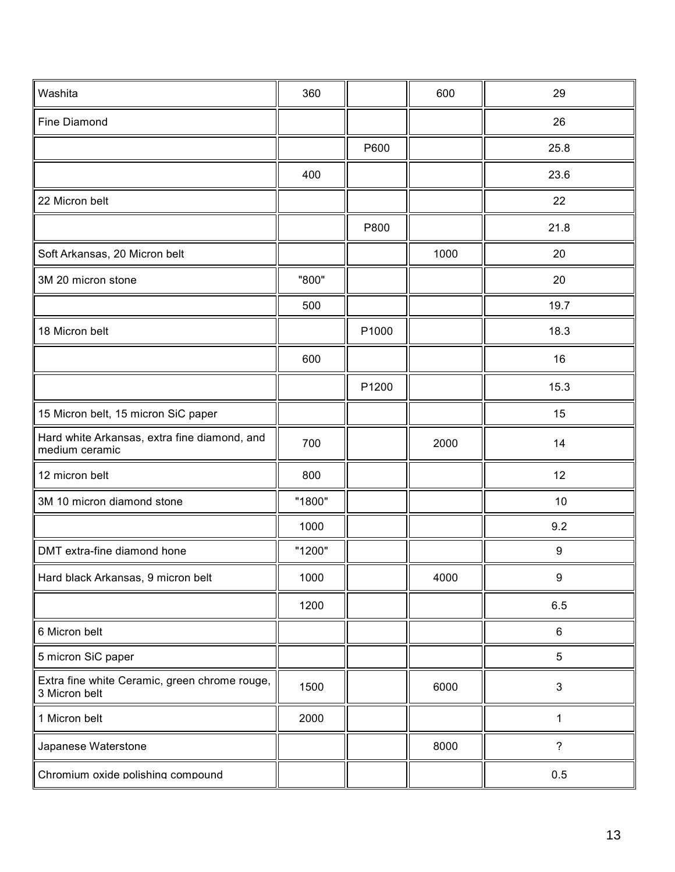| Washita                                                        | 360    |       | 600  | 29             |
|----------------------------------------------------------------|--------|-------|------|----------------|
| <b>Fine Diamond</b>                                            |        |       |      | 26             |
|                                                                |        | P600  |      | 25.8           |
|                                                                | 400    |       |      | 23.6           |
| 22 Micron belt                                                 |        |       |      | 22             |
|                                                                |        | P800  |      | 21.8           |
| Soft Arkansas, 20 Micron belt                                  |        |       | 1000 | 20             |
| 3M 20 micron stone                                             | "800"  |       |      | 20             |
|                                                                | 500    |       |      | 19.7           |
| 18 Micron belt                                                 |        | P1000 |      | 18.3           |
|                                                                | 600    |       |      | 16             |
|                                                                |        | P1200 |      | 15.3           |
| 15 Micron belt, 15 micron SiC paper                            |        |       |      | 15             |
| Hard white Arkansas, extra fine diamond, and<br>medium ceramic | 700    |       | 2000 | 14             |
| 12 micron belt                                                 | 800    |       |      | 12             |
| 3M 10 micron diamond stone                                     | "1800" |       |      | 10             |
|                                                                | 1000   |       |      | 9.2            |
| DMT extra-fine diamond hone                                    | "1200" |       |      | 9              |
| Hard black Arkansas, 9 micron belt                             | 1000   |       | 4000 | 9              |
|                                                                | 1200   |       |      | 6.5            |
| 6 Micron belt                                                  |        |       |      | 6              |
| 5 micron SiC paper                                             |        |       |      | 5              |
| Extra fine white Ceramic, green chrome rouge,<br>3 Micron belt | 1500   |       | 6000 | $\mathfrak{S}$ |
| 1 Micron belt                                                  | 2000   |       |      | 1              |
| Japanese Waterstone                                            |        |       | 8000 | $\overline{?}$ |
| Chromium oxide polishing compound                              |        |       |      | 0.5            |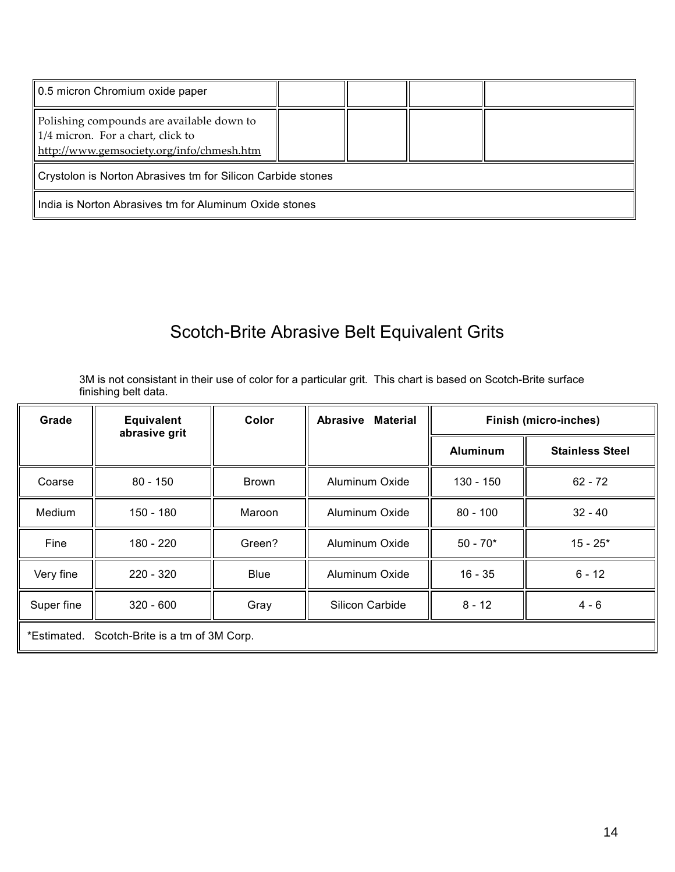| 0.5 micron Chromium oxide paper                                                                                                     |  |  |  |  |  |
|-------------------------------------------------------------------------------------------------------------------------------------|--|--|--|--|--|
| Polishing compounds are available down to<br>$\vert$ 1/4 micron. For a chart, click to<br>http://www.gemsociety.org/info/chmesh.htm |  |  |  |  |  |
| Crystolon is Norton Abrasives tm for Silicon Carbide stones                                                                         |  |  |  |  |  |
| India is Norton Abrasives tm for Aluminum Oxide stones                                                                              |  |  |  |  |  |

# Scotch-Brite Abrasive Belt Equivalent Grits

3M is not consistant in their use of color for a particular grit. This chart is based on Scotch-Brite surface finishing belt data.

| Grade                                           | <b>Equivalent</b><br>abrasive grit | Color       | <b>Material</b><br><b>Abrasive</b> | <b>Finish (micro-inches)</b> |                        |
|-------------------------------------------------|------------------------------------|-------------|------------------------------------|------------------------------|------------------------|
|                                                 |                                    |             |                                    | <b>Aluminum</b>              | <b>Stainless Steel</b> |
| Coarse                                          | $80 - 150$                         | Brown       | Aluminum Oxide                     | 130 - 150                    | $62 - 72$              |
| Medium                                          | 150 - 180                          | Maroon      | Aluminum Oxide                     | $80 - 100$                   | $32 - 40$              |
| Fine                                            | 180 - 220                          | Green?      | Aluminum Oxide                     | $50 - 70*$                   | $15 - 25*$             |
| Very fine                                       | $220 - 320$                        | <b>Blue</b> | Aluminum Oxide                     | $16 - 35$                    | $6 - 12$               |
| Super fine                                      | $320 - 600$                        | Gray        | Silicon Carbide                    | $8 - 12$                     | $4 - 6$                |
| Scotch-Brite is a tm of 3M Corp.<br>*Estimated. |                                    |             |                                    |                              |                        |